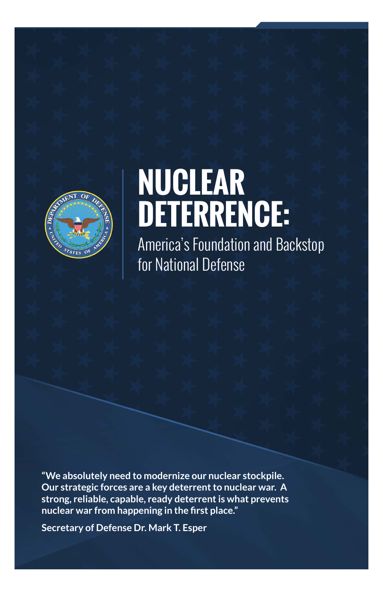

## **NUCLEAR DETERRENCE:**

America's Foundation and Backstop for National Defense

**"We absolutely need to modernize our nuclear stockpile. Our strategic forces are a key deterrent to nuclear war. A strong, reliable, capable, ready deterrent is what prevents nuclear war from happening in the first place."**

**Secretary of Defense Dr. Mark T. Esper**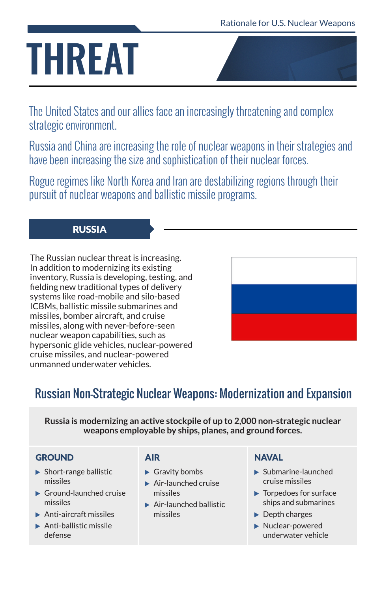## THREAT

The United States and our allies face an increasingly threatening and complex strategic environment.

Russia and China are increasing the role of nuclear weapons in their strategies and have been increasing the size and sophistication of their nuclear forces.

Rogue regimes like North Korea and Iran are destabilizing regions through their pursuit of nuclear weapons and ballistic missile programs.

#### RUSSIA

The Russian nuclear threat is increasing. In addition to modernizing its existing inventory, Russia is developing, testing, and fielding new traditional types of delivery systems like road-mobile and silo-based ICBMs, ballistic missile submarines and missiles, bomber aircraft, and cruise missiles, along with never-before-seen nuclear weapon capabilities, such as hypersonic glide vehicles, nuclear-powered cruise missiles, and nuclear-powered unmanned underwater vehicles.



### Russian Non-Strategic Nuclear Weapons: Modernization and Expansion

**Russia is modernizing an active stockpile of up to 2,000 non-strategic nuclear weapons employable by ships, planes, and ground forces.**

#### **GROUND**

- $\blacktriangleright$  Short-range ballistic missiles
- $\blacktriangleright$  Ground-launched cruise missiles
- $\blacktriangleright$  Anti-aircraft missiles
- $\blacktriangleright$  Anti-ballistic missile defense

#### AIR

- $\blacktriangleright$  Gravity bombs
- $\blacktriangleright$  Air-launched cruise missiles
- $\blacktriangleright$  Air-launched ballistic missiles

#### **NAVAL**

- $\blacktriangleright$  Submarine-launched cruise missiles
- $\blacktriangleright$  Torpedoes for surface ships and submarines
- $\blacktriangleright$  Depth charges
- $\blacktriangleright$  Nuclear-powered underwater vehicle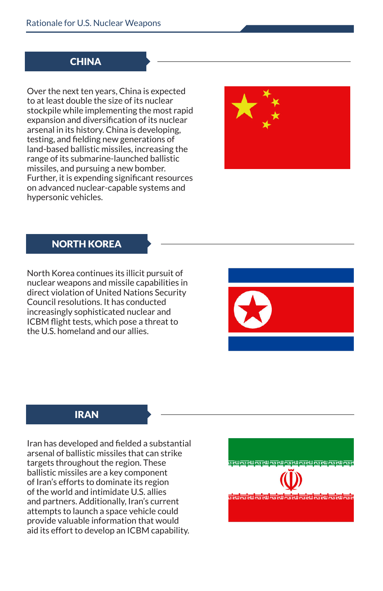#### **CHINA**

Over the next ten years, China is expected to at least double the size of its nuclear stockpile while implementing the most rapid expansion and diversification of its nuclear arsenal in its history. China is developing, testing, and fielding new generations of land-based ballistic missiles, increasing the range of its submarine-launched ballistic missiles, and pursuing a new bomber. Further, it is expending significant resources on advanced nuclear-capable systems and hypersonic vehicles.



#### NORTH KOREA

North Korea continues its illicit pursuit of nuclear weapons and missile capabilities in direct violation of United Nations Security Council resolutions. It has conducted increasingly sophisticated nuclear and ICBM flight tests, which pose a threat to the U.S. homeland and our allies.



#### IRAN

Iran has developed and fielded a substantial arsenal of ballistic missiles that can strike targets throughout the region. These ballistic missiles are a key component of Iran's efforts to dominate its region of the world and intimidate U.S. allies and partners. Additionally, Iran's current attempts to launch a space vehicle could provide valuable information that would aid its effort to develop an ICBM capability.

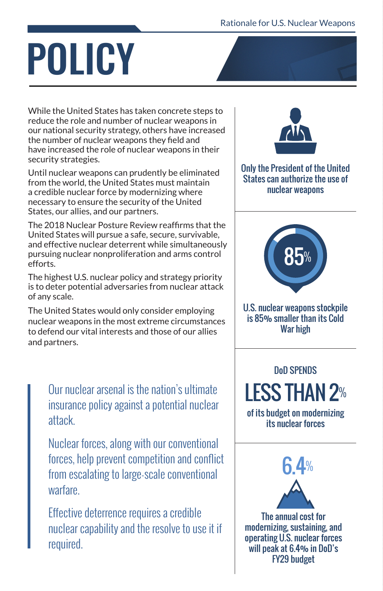# POLICY

While the United States has taken concrete steps to reduce the role and number of nuclear weapons in our national security strategy, others have increased the number of nuclear weapons they field and have increased the role of nuclear weapons in their security strategies.

Until nuclear weapons can prudently be eliminated from the world, the United States must maintain a credible nuclear force by modernizing where necessary to ensure the security of the United States, our allies, and our partners.

The 2018 Nuclear Posture Review reaffirms that the United States will pursue a safe, secure, survivable, and effective nuclear deterrent while simultaneously pursuing nuclear nonproliferation and arms control efforts.

The highest U.S. nuclear policy and strategy priority is to deter potential adversaries from nuclear attack of any scale.

The United States would only consider employing nuclear weapons in the most extreme circumstances to defend our vital interests and those of our allies and partners.

Our nuclear arsenal is the nation's ultimate insurance policy against a potential nuclear attack.

Nuclear forces, along with our conventional forces, help prevent competition and conflict from escalating to large-scale conventional warfare.

Effective deterrence requires a credible nuclear capability and the resolve to use it if required.



Only the President of the United States can authorize the use of nuclear weapons



U.S. nuclear weapons stockpile is 85% smaller than its Cold War high

DoD SPENDS LESS THAN 2% of its budget on modernizing

its nuclear forces



The annual cost for modernizing, sustaining, and operating U.S. nuclear forces will peak at 6.4% in DoD's FY29 budget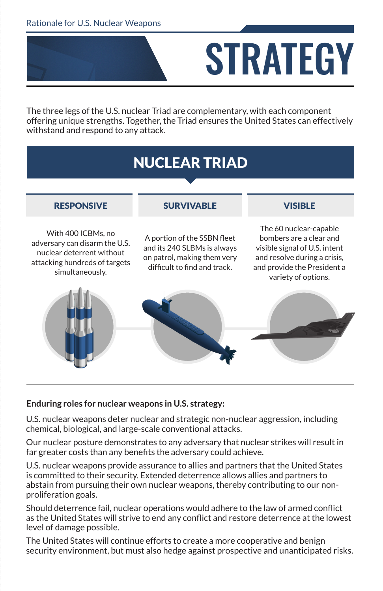

**STRATEGY** 

The three legs of the U.S. nuclear Triad are complementary, with each component offering unique strengths. Together, the Triad ensures the United States can effectively withstand and respond to any attack.

#### RESPONSIVE With 400 ICBMs, no adversary can disarm the U.S. nuclear deterrent without attacking hundreds of targets simultaneously. **SURVIVARLE** A portion of the SSBN fleet and its 240 SLBMs is always on patrol, making them very difficult to find and track. VISIBLE The 60 nuclear-capable bombers are a clear and visible signal of U.S. intent and resolve during a crisis, and provide the President a variety of options. NUCLEAR TRIAD

#### **Enduring roles for nuclear weapons in U.S. strategy:**

U.S. nuclear weapons deter nuclear and strategic non-nuclear aggression, including chemical, biological, and large-scale conventional attacks.

Our nuclear posture demonstrates to any adversary that nuclear strikes will result in far greater costs than any benefits the adversary could achieve.

U.S. nuclear weapons provide assurance to allies and partners that the United States is committed to their security. Extended deterrence allows allies and partners to abstain from pursuing their own nuclear weapons, thereby contributing to our nonproliferation goals.

Should deterrence fail, nuclear operations would adhere to the law of armed conflict as the United States will strive to end any conflict and restore deterrence at the lowest level of damage possible.

The United States will continue efforts to create a more cooperative and benign security environment, but must also hedge against prospective and unanticipated risks.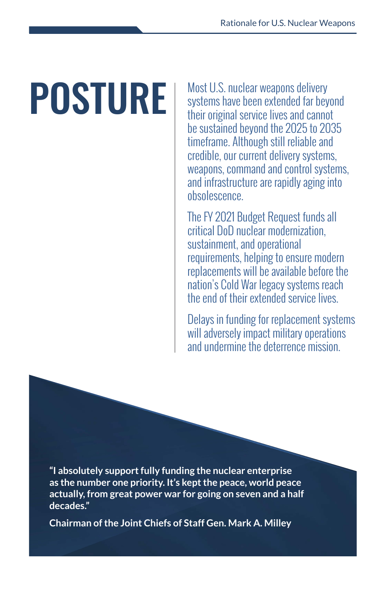**POSTURE** Most U.S. nuclear weapons delivery systems have been extended far beyond their original service lives and cannot be sustained beyond the 2025 to 2035 timeframe. Although still reliable and credible, our current delivery systems, weapons, command and control systems, and infrastructure are rapidly aging into obsolescence.

> The FY 2021 Budget Request funds all critical DoD nuclear modernization, sustainment, and operational requirements, helping to ensure modern replacements will be available before the nation's Cold War legacy systems reach the end of their extended service lives.

Delays in funding for replacement systems will adversely impact military operations and undermine the deterrence mission.

**"I absolutely support fully funding the nuclear enterprise as the number one priority. It's kept the peace, world peace actually, from great power war for going on seven and a half decades."** 

**Chairman of the Joint Chiefs of Staff Gen. Mark A. Milley**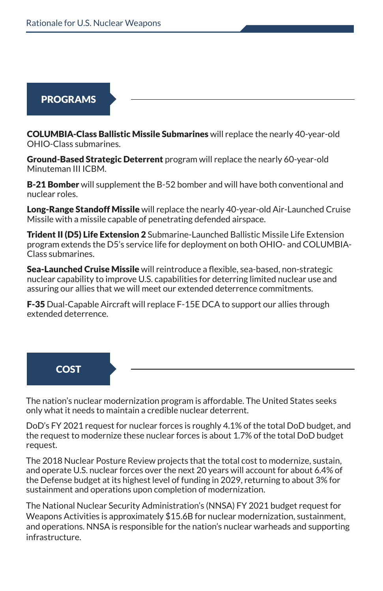#### PROGRAMS

COLUMBIA-Class Ballistic Missile Submarines will replace the nearly 40-year-old OHIO-Class submarines.

Ground-Based Strategic Deterrent program will replace the nearly 60-year-old Minuteman III ICBM.

**B-21 Bomber** will supplement the B-52 bomber and will have both conventional and nuclear roles.

Long-Range Standoff Missile will replace the nearly 40-year-old Air-Launched Cruise Missile with a missile capable of penetrating defended airspace.

**Trident II (D5) Life Extension 2** Submarine-Launched Ballistic Missile Life Extension program extends the D5's service life for deployment on both OHIO- and COLUMBIA-Class submarines.

Sea-Launched Cruise Missile will reintroduce a flexible, sea-based, non-strategic nuclear capability to improve U.S. capabilities for deterring limited nuclear use and assuring our allies that we will meet our extended deterrence commitments.

F-35 Dual-Capable Aircraft will replace F-15E DCA to support our allies through extended deterrence.

#### **COST**

The nation's nuclear modernization program is affordable. The United States seeks only what it needs to maintain a credible nuclear deterrent.

DoD's FY 2021 request for nuclear forces is roughly 4.1% of the total DoD budget, and the request to modernize these nuclear forces is about 1.7% of the total DoD budget request.

The 2018 Nuclear Posture Review projects that the total cost to modernize, sustain, and operate U.S. nuclear forces over the next 20 years will account for about 6.4% of the Defense budget at its highest level of funding in 2029, returning to about 3% for sustainment and operations upon completion of modernization.

The National Nuclear Security Administration's (NNSA) FY 2021 budget request for Weapons Activities is approximately \$15.6B for nuclear modernization, sustainment, and operations. NNSA is responsible for the nation's nuclear warheads and supporting infrastructure.